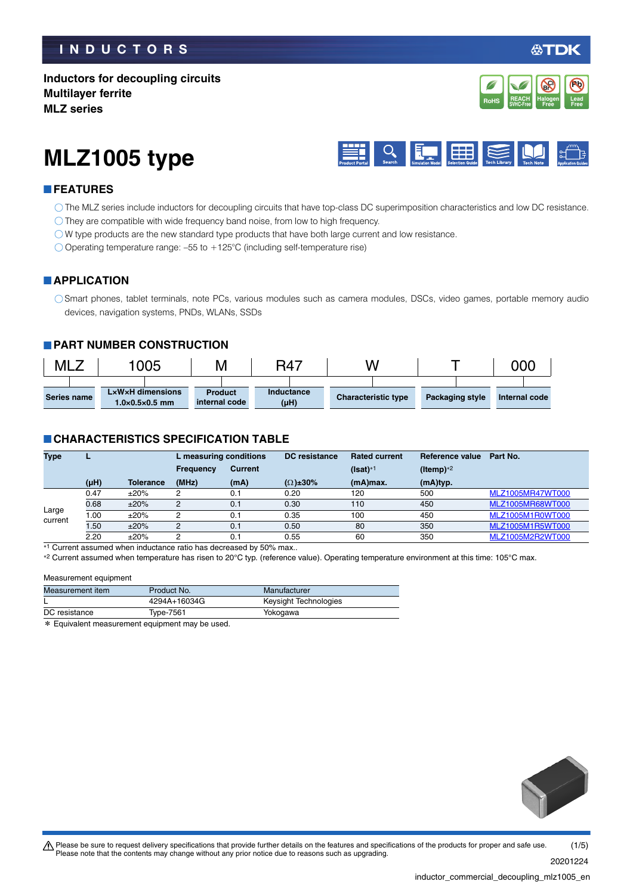## **INDUCTORS**

## **Inductors for decoupling circuits Multilayer ferrite MLZ series**



# **MLZ1005 type**



## **FEATURES**

- The MLZ series include inductors for decoupling circuits that have top-class DC superimposition characteristics and low DC resistance.
- O They are compatible with wide frequency band noise, from low to high frequency.
- W type products are the new standard type products that have both large current and low resistance.
- $\bigcirc$  Operating temperature range: -55 to +125°C (including self-temperature rise)

#### **APPLICATION**

Smart phones, tablet terminals, note PCs, various modules such as camera modules, DSCs, video games, portable memory audio devices, navigation systems, PNDs, WLANs, SSDs

#### **PART NUMBER CONSTRUCTION**

| <b>MLZ</b>         | 1005                                                           | Μ                               | R47                     | N                          |                        | 000           |
|--------------------|----------------------------------------------------------------|---------------------------------|-------------------------|----------------------------|------------------------|---------------|
| <b>Series name</b> | $L \times W \times H$ dimensions<br>$1.0\times0.5\times0.5$ mm | <b>Product</b><br>internal code | Inductance<br>$(\mu H)$ | <b>Characteristic type</b> | <b>Packaging style</b> | Internal code |

## **CHARACTERISTICS SPECIFICATION TABLE**

| <b>Type</b>      |           |                  | L measuring conditions |                | DC resistance       | <b>Rated current</b> | Reference value | Part No.         |
|------------------|-----------|------------------|------------------------|----------------|---------------------|----------------------|-----------------|------------------|
|                  |           |                  | <b>Frequency</b>       | <b>Current</b> |                     | $(Isat)*1$           | (Itemp) $*2$    |                  |
|                  | $(\mu H)$ | <b>Tolerance</b> | (MHz)                  | (mA)           | $(\Omega) \pm 30\%$ | $(mA)$ max.          | (mA)typ.        |                  |
|                  | 0.47      | ±20%             | 2                      | 0.1            | 0.20                | 120                  | 500             | MLZ1005MR47WT000 |
|                  | 0.68      | ±20%             | 2                      | 0.1            | 0.30                | 110                  | 450             | MLZ1005MR68WT000 |
| Large<br>current | .00       | ±20%             | 2                      | 0.1            | 0.35                | 100                  | 450             | MLZ1005M1R0WT000 |
|                  | .50       | ±20%             | 2                      | 0.1            | 0.50                | 80                   | 350             | MLZ1005M1R5WT000 |
|                  | 2.20      | ±20%             | 2                      | 0.1            | 0.55                | 60                   | 350             | MLZ1005M2R2WT000 |

\*1 Current assumed when inductance ratio has decreased by 50% max..

\*2 Current assumed when temperature has risen to 20°C typ. (reference value). Operating temperature environment at this time: 105°C max.

#### Measurement equipment

| Measurement item | Product No.                                    | Manufacturer          |  |
|------------------|------------------------------------------------|-----------------------|--|
|                  | 4294A+16034G                                   | Keysight Technologies |  |
| DC resistance    | Type-7561                                      | Yokogawa              |  |
|                  | * Equivalent measurement equinment may be used |                       |  |

ent measurement equipment may be used



t Please be sure to request delivery specifications that provide further details on the features and specifications of the products for proper and safe use. Please note that the contents may change without any prior notice due to reasons such as upgrading. 20201224 (1/5)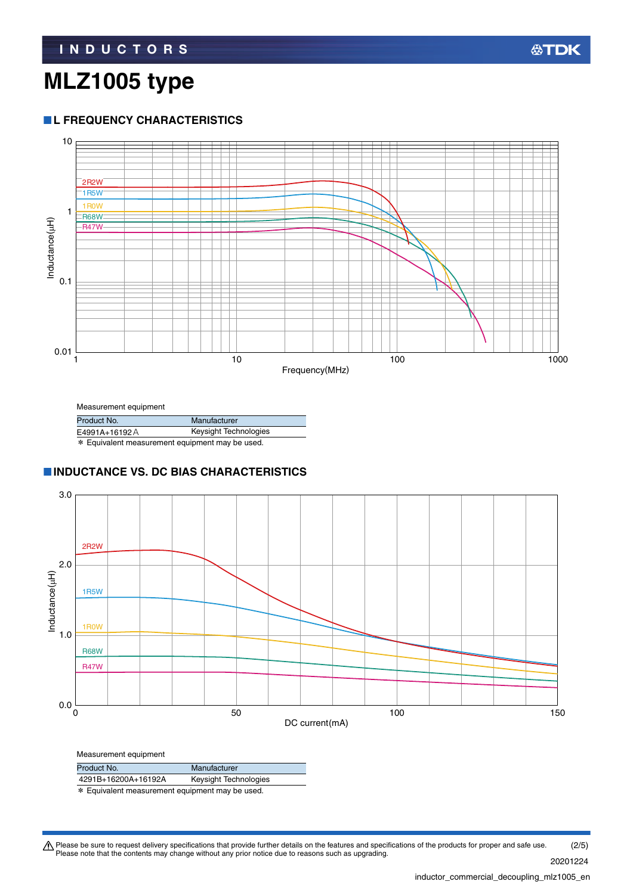## **MLZ1005 type**

### **L FREQUENCY CHARACTERISTICS**



Measurement equipment

| .                                               |                       |  |  |
|-------------------------------------------------|-----------------------|--|--|
| Product No.                                     | Manufacturer          |  |  |
| E4991A+16192A                                   | Keysight Technologies |  |  |
| * Equivalent measurement equipment may be used. |                       |  |  |

#### **INDUCTANCE VS. DC BIAS CHARACTERISTICS**



| Measurement equipment |                       |
|-----------------------|-----------------------|
| Product No.           | Manufacturer          |
| 4291B+16200A+16192A   | Keysight Technologies |

\* Equivalent measurement equipment may be used.

Please be sure to request delivery specifications that provide further details on the features and specifications of the products for proper and safe use.<br>Please note that the contents may change without any prior notice d 20201224 (2/5)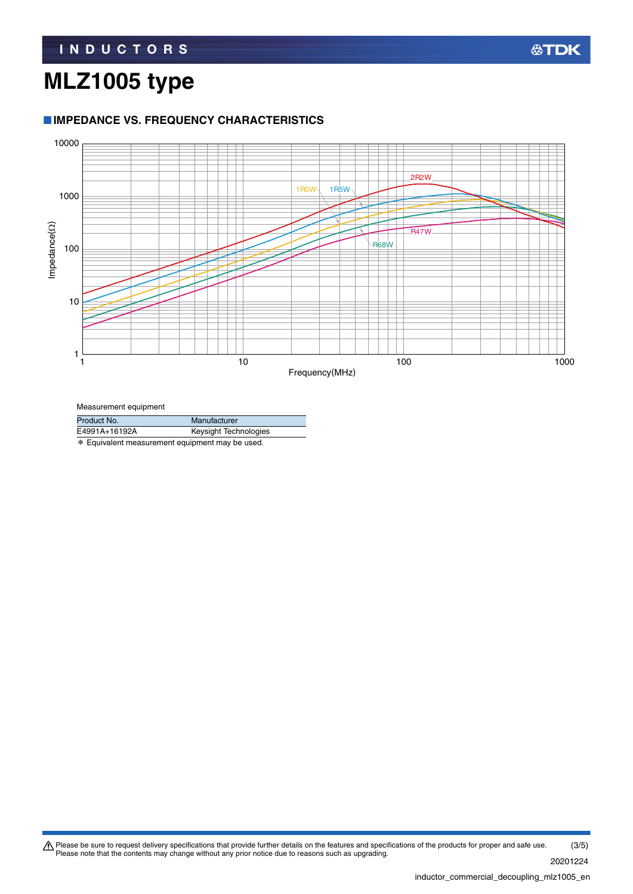# **MLZ1005 type**

## **IMPEDANCE VS. FREQUENCY CHARACTERISTICS**



Measurement equipment

| Product No.                                                | Manufacturer          |  |
|------------------------------------------------------------|-----------------------|--|
| E4991A+16192A                                              | Keysight Technologies |  |
| $\frac{1}{2}$ Equivalent measurement equipment may be used |                       |  |

Equivalent measurement equipment may be used.

Please be sure to request delivery specifications that provide further details on the features and specifications of the products for proper and safe use.<br>Please note that the contents may change without any prior notice d (3/5)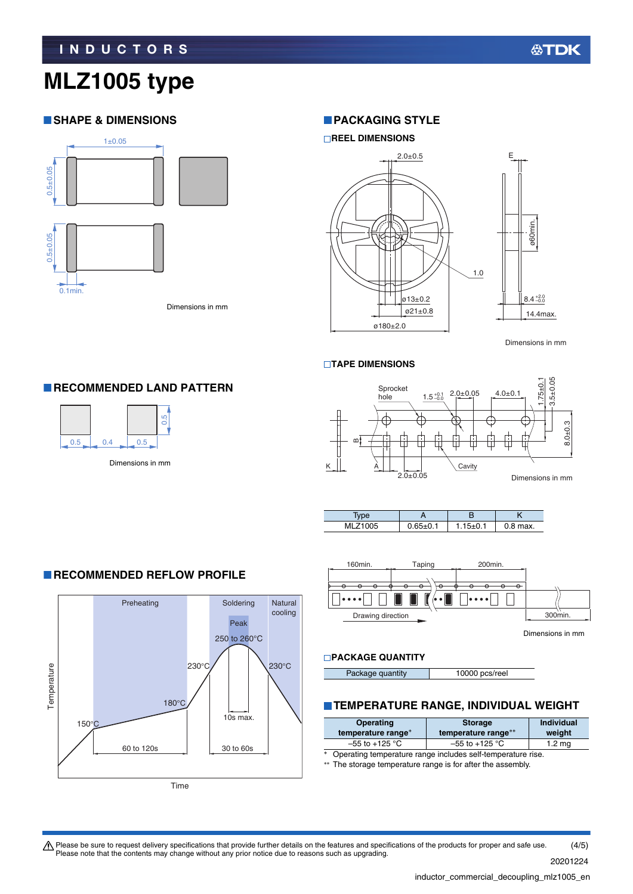## **MLZ1005 type**

## **SHAPE & DIMENSIONS**



Dimensions in mm

#### **PACKAGING STYLE**





Dimensions in mm

#### **TAPE DIMENSIONS**







#### **PACKAGE QUANTITY**

Package quantity 10000 pcs/reel

#### **TEMPERATURE RANGE, INDIVIDUAL WEIGHT**

| Operating<br>temperature range* | <b>Storage</b><br>temperature range** | <b>Individual</b><br>weight |
|---------------------------------|---------------------------------------|-----------------------------|
| $-55$ to $+125$ °C              | $-55$ to $+125$ °C                    | $1.2 \text{ mg}$            |
| $\sim$ $\sim$                   |                                       |                             |

\* Operating temperature range includes self-temperature rise.

\*\* The storage temperature range is for after the assembly.

#### **RECOMMENDED LAND PATTERN**





 $\bigwedge$  Please be sure to request delivery specifications that provide further details on the features and specifications of the products for proper and safe use. Please note that the contents may change without any prior notice due to reasons such as upgrading. (4/5)